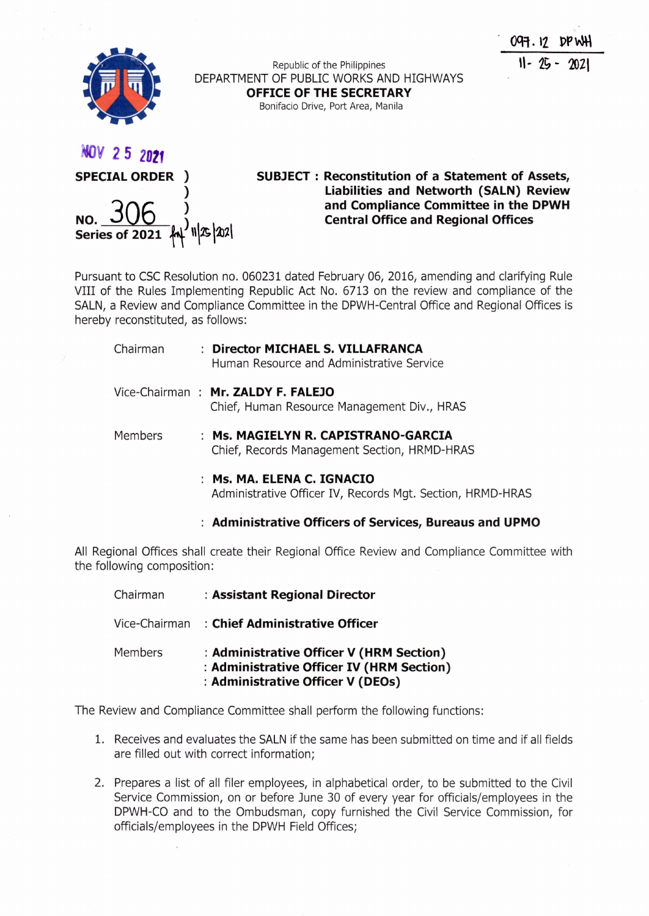



**SUBJECT: Reconstitution of a Statement of Assets, Liabilities and Networth (SALN) Review and Compliance Committee in the DPWH Central Office and Regional Offices**

Pursuant to CSC Resolution no. 060231 dated February 06, 2016, amending and clarifying Rule VIII of the Rules Implementing Republic Act No. 6713 on the review and compliance of the SALN, a Review and Compliance Committee in the DPWH-Central Office and Regional Offices is hereby reconstituted, as follows:

| Chairman | : Director MICHAEL S. VILLAFRANCA<br>Human Resource and Administrative Service      |
|----------|-------------------------------------------------------------------------------------|
|          | Vice-Chairman: Mr. ZALDY F. FALEJO<br>Chief, Human Resource Management Div., HRAS   |
| Members  | : Ms. MAGIELYN R. CAPISTRANO-GARCIA<br>Chief, Records Management Section, HRMD-HRAS |

**Ms. MA. ELENA C. IGNACIO** Administrative Officer IV, Records Mgt. Section, HRMD-HRAS

**Administrative Officers of Services, Bureaus and UPMO**

All Regional Offices shall create their Regional Office Review and Compliance Committee with the following composition:

| Chairman       | : Assistant Regional Director                                                                                             |
|----------------|---------------------------------------------------------------------------------------------------------------------------|
| Vice-Chairman  | : Chief Administrative Officer                                                                                            |
| <b>Members</b> | : Administrative Officer V (HRM Section)<br>: Administrative Officer IV (HRM Section<br>: Administrative Officer V (DEOs) |

The Review and Compliance Committee shall perform the following functions:

- 1. Receives and evaluates the SALN if the same has been submitted on time and if all fields are filled out with correct information;
- 2. Prepares a list of all filer employees, in alphabetical order, to be submitted to the Civil Service Commission, on or before June 30 of every year for officials/employees in the DPWH-CO and to the Ombudsman, copy furnished the Civil Service Commission, for officials/employees in the DPWH Field Offices;